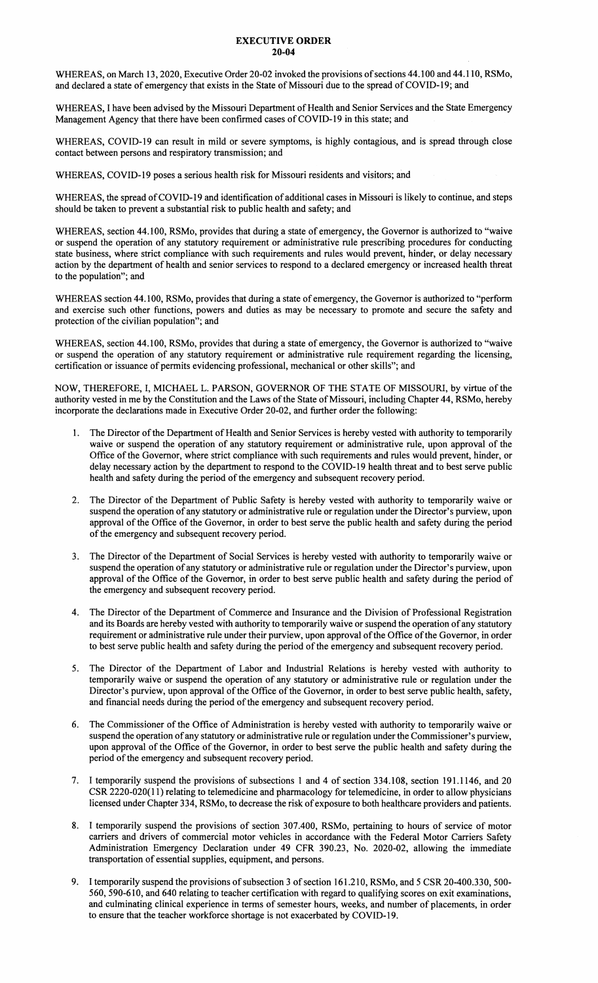## EXECUTNE **ORDER**  20-04

WHEREAS, on March 13, 2020, Executive Order 20-02 invoked the provisions of sections 44.100 and 44.110, RSMo, and declared a state of emergency that exists in the State of Missouri due to the spread of COVID-19; and

WHEREAS, I have been advised by the Missouri Department of Health and Senior Services and the State Emergency Management Agency that there have been confirmed cases of COVID-19 in this state; and

WHEREAS, COVID-19 can result in mild or severe symptoms, is highly contagious, and is spread through close contact between persons and respiratory transmission; and

WHEREAS, COVID-19 poses a serious health risk for Missouri residents and visitors; and

WHEREAS, the spread of COVID-19 and identification of additional cases in Missouri is likely to continue, and steps should be taken to prevent a substantial risk to public health and safety; and

WHEREAS, section 44.100, RSMo, provides that during a state of emergency, the Governor is authorized to "waive or suspend the operation of any statutory requirement or administrative rule prescribing procedures for conducting state business, where strict compliance with such requirements and rules would prevent, hinder, or delay necessary action by the department of health and senior services to respond to a declared emergency or increased health threat to the population"; and

WHEREAS section 44.100, RSMo, provides that during a state of emergency, the Governor is authorized to "perform and exercise such other functions, powers and duties as may be necessary to promote and secure the safety and protection of the civilian population"; and

WHEREAS, section 44.100, RSMo, provides that during a state of emergency, the Governor is authorized to ''waive or suspend the operation of any statutory requirement or administrative rule requirement regarding the licensing, certification or issuance of permits evidencing professional, mechanical or other skills"; and

NOW, THEREFORE, I, MICHAEL L. PARSON, GOVERNOR OF THE STATE OF MISSOURI, by virtue of the authority vested in me by the Constitution and the Laws of the State of Missouri, including Chapter 44, RSMo, hereby incorporate the declarations made in Executive Order 20-02, and further order the following:

- The Director of the Department of Health and Senior Services is hereby vested with authority to temporarily waive or suspend the operation of any statutory requirement or administrative rule, upon approval of the Office of the Governor, where strict compliance with such requirements and rules would prevent, hinder, or delay necessary action by the department to respond to the COVID-19 health threat and to best serve public health and safety during the period of the emergency and subsequent recovery period.
- 2. The Director of the Department of Public Safety is hereby vested with authority to temporarily waive or suspend the operation of any statutory or administrative rule or regulation under the Director's purview, upon approval of the Office of the Governor, in order to best serve the public health and safety during the period of the emergency and subsequent recovery period.
- 3. The Director of the Department of Social Services is hereby vested with authority to temporarily waive or suspend the operation of any statutory or administrative rule or regulation under the Director's purview, upon approval of the Office of the Governor, in order to best serve public health and safety during the period of the emergency and subsequent recovery period.
- 4. The Director of the Department of Commerce and Insurance and the Division of Professional Registration and its Boards are hereby vested with authority to temporarily waive or suspend the operation of any statutory requirement or administrative rule under their purview, upon approval of the Office of the Governor, in order to best serve public health and safety during the period of the emergency and subsequent recovery period.
- The Director of the Department of Labor and Industrial Relations is hereby vested with authority to temporarily waive or suspend the operation of any statutory or administrative rule or regulation under the Director's purview, upon approval of the Office of the Governor, in order to best serve public health, safety, and financial needs during the period of the emergency and subsequent recovery period.
- 6. The Commissioner of the Office of Administration is hereby vested with authority to temporarily waive or suspend the operation of any statutory or administrative rule or regulation under the Commissioner's purview, upon approval of the Office of the Governor, in order to best serve the public health and safety during the period of the emergency and subsequent recovery period.
- 7. I temporarily suspend the provisions of subsections 1 and 4 of section 334.108, section 191.1146, and 20 CSR 2220-020(11) relating to telemedicine and pharmacology for telemedicine, in order to allow physicians licensed under Chapter 334, RSMo, to decrease the risk of exposure to both healthcare providers and patients.
- 8. I temporarily suspend the provisions of section 307.400, RSMo, pertaining to hours of service of motor carriers and drivers of commercial motor vehicles in accordance with the Federal Motor Carriers Safety Administration Emergency Declaration under 49 CFR 390.23, No. 2020-02, allowing the immediate transportation of essential supplies, equipment, and persons.
- 9. I temporarily suspend the provisions of subsection 3 of section 161.210, RSMo, and 5 CSR 20-400.330, 500- 560, 590-610, and 640 relating to teacher certification with regard to qualifying scores on exit examinations, and culminating clinical experience in terms of semester hours, weeks, and number of placements, in order to ensure that the teacher workforce shortage is not exacerbated by COVID-19.